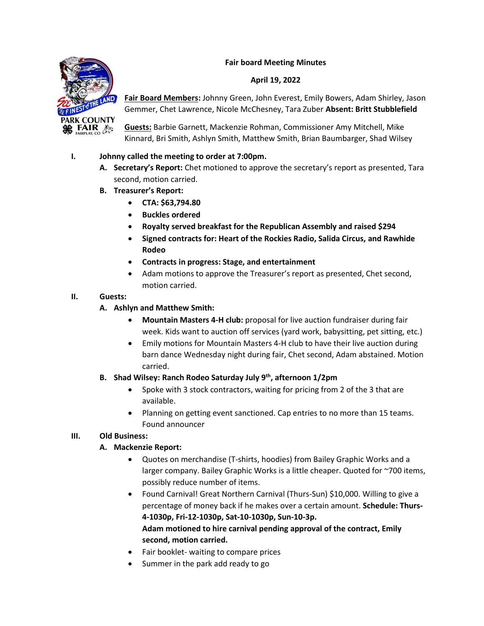#### **Fair board Meeting Minutes**

#### **April 19, 2022**



**Fair Board Members:** Johnny Green, John Everest, Emily Bowers, Adam Shirley, Jason Gemmer, Chet Lawrence, Nicole McChesney, Tara Zuber **Absent: Britt Stubblefield**

**Guests:** Barbie Garnett, Mackenzie Rohman, Commissioner Amy Mitchell, Mike Kinnard, Bri Smith, Ashlyn Smith, Matthew Smith, Brian Baumbarger, Shad Wilsey

## **I. Johnny called the meeting to order at 7:00pm.**

- **A. Secretary's Report:** Chet motioned to approve the secretary's report as presented, Tara second, motion carried.
- **B. Treasurer's Report:** 
	- **CTA: \$63,794.80**
	- **Buckles ordered**
	- **Royalty served breakfast for the Republican Assembly and raised \$294**
	- **Signed contracts for: Heart of the Rockies Radio, Salida Circus, and Rawhide Rodeo**
	- **Contracts in progress: Stage, and entertainment**
	- Adam motions to approve the Treasurer's report as presented, Chet second, motion carried.

#### **II. Guests:**

- **A. Ashlyn and Matthew Smith:** 
	- **Mountain Masters 4-H club:** proposal for live auction fundraiser during fair week. Kids want to auction off services (yard work, babysitting, pet sitting, etc.)
	- Emily motions for Mountain Masters 4-H club to have their live auction during barn dance Wednesday night during fair, Chet second, Adam abstained. Motion carried.

## **B. Shad Wilsey: Ranch Rodeo Saturday July 9th, afternoon 1/2pm**

- Spoke with 3 stock contractors, waiting for pricing from 2 of the 3 that are available.
- Planning on getting event sanctioned. Cap entries to no more than 15 teams. Found announcer

## **III. Old Business:**

## **A. Mackenzie Report:**

- Quotes on merchandise (T-shirts, hoodies) from Bailey Graphic Works and a larger company. Bailey Graphic Works is a little cheaper. Quoted for ~700 items, possibly reduce number of items.
- Found Carnival! Great Northern Carnival (Thurs-Sun) \$10,000. Willing to give a percentage of money back if he makes over a certain amount. **Schedule: Thurs-4-1030p, Fri-12-1030p, Sat-10-1030p, Sun-10-3p. Adam motioned to hire carnival pending approval of the contract, Emily second, motion carried.**
- Fair booklet- waiting to compare prices
- Summer in the park add ready to go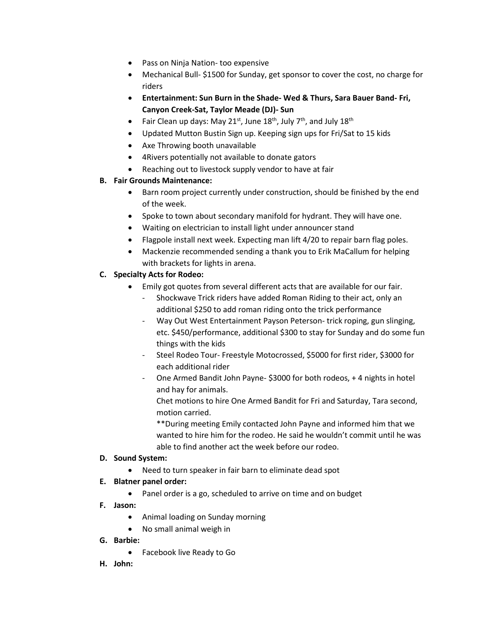- Pass on Ninja Nation- too expensive
- Mechanical Bull- \$1500 for Sunday, get sponsor to cover the cost, no charge for riders
- **Entertainment: Sun Burn in the Shade- Wed & Thurs, Sara Bauer Band- Fri, Canyon Creek-Sat, Taylor Meade (DJ)- Sun**
- Fair Clean up days: May 21<sup>st</sup>, June 18<sup>th</sup>, July 7<sup>th</sup>, and July 18<sup>th</sup>
- Updated Mutton Bustin Sign up. Keeping sign ups for Fri/Sat to 15 kids
- Axe Throwing booth unavailable
- 4Rivers potentially not available to donate gators
- Reaching out to livestock supply vendor to have at fair

# **B. Fair Grounds Maintenance:**

- Barn room project currently under construction, should be finished by the end of the week.
- Spoke to town about secondary manifold for hydrant. They will have one.
- Waiting on electrician to install light under announcer stand
- Flagpole install next week. Expecting man lift 4/20 to repair barn flag poles.
- Mackenzie recommended sending a thank you to Erik MaCallum for helping with brackets for lights in arena.

# **C. Specialty Acts for Rodeo:**

- Emily got quotes from several different acts that are available for our fair.
	- Shockwave Trick riders have added Roman Riding to their act, only an additional \$250 to add roman riding onto the trick performance
	- Way Out West Entertainment Payson Peterson- trick roping, gun slinging, etc. \$450/performance, additional \$300 to stay for Sunday and do some fun things with the kids
	- Steel Rodeo Tour- Freestyle Motocrossed, \$5000 for first rider, \$3000 for each additional rider
	- One Armed Bandit John Payne- \$3000 for both rodeos, + 4 nights in hotel and hay for animals.

Chet motions to hire One Armed Bandit for Fri and Saturday, Tara second, motion carried.

\*\*During meeting Emily contacted John Payne and informed him that we wanted to hire him for the rodeo. He said he wouldn't commit until he was able to find another act the week before our rodeo.

## **D. Sound System:**

• Need to turn speaker in fair barn to eliminate dead spot

## **E. Blatner panel order:**

- Panel order is a go, scheduled to arrive on time and on budget
- **F. Jason:** 
	- Animal loading on Sunday morning
	- No small animal weigh in
- **G. Barbie:** 
	- Facebook live Ready to Go
- **H. John:**